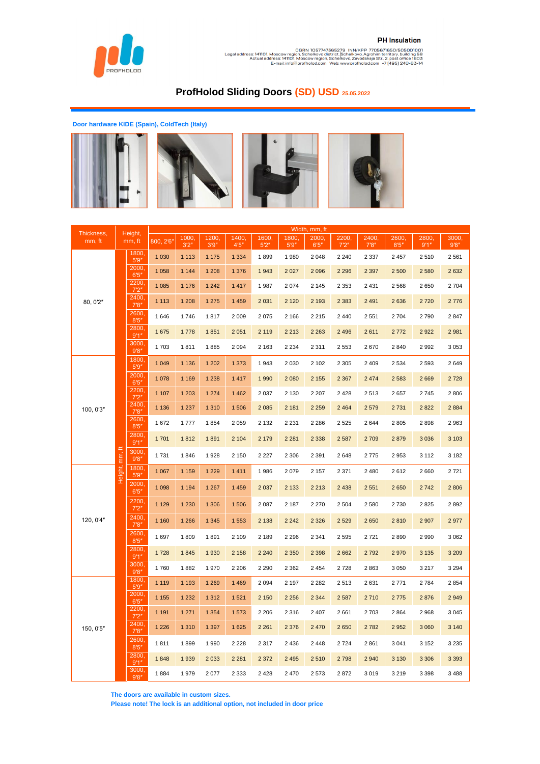

OGRN 1057747365279 INN/KPP 7705671650/505001001<br>Legal address: 141101, Moscow region, Schelkovo, Egrobin, Ecrritory, building 58<br>Actual address: 141101, Moscow region, Schelkovo, Zavodskaja Str., 2, post office 1603<br>E-mail

# **ProfHolod Sliding Doors (SD) USD 25.05.2022**

### **Door hardware KIDE (Spain), ColdTech (Italy)**



|                      | Height,                     |           |                |                |                |                |                | Width, mm, ft  |                |                |                |                |               |
|----------------------|-----------------------------|-----------|----------------|----------------|----------------|----------------|----------------|----------------|----------------|----------------|----------------|----------------|---------------|
| Thickness,<br>mm, ft | mm, ft                      | 800, 2'6" | 1000,<br>3'2'' | 1200,<br>3'9'' | 1400,<br>4'5'' | 1600,<br>5'2'' | 1800,<br>5'9'' | 2000,<br>6'5'' | 2200,<br>7'2'' | 2400,<br>7'8'' | 2600,<br>8'5'' | 2800,<br>9'1'' | 3000<br>9'8'' |
| 80, 0'2"             | 1800,<br>5'9''              | 1 0 3 0   | 1 1 1 3        | 1 1 7 5        | 1 3 3 4        | 1899           | 1980           | 2048           | 2 2 4 0        | 2 3 3 7        | 2 4 5 7        | 2510           | 2561          |
|                      | 2000,<br>6'5''              | 1 0 5 8   | 1 1 4 4        | 1 2 0 8        | 1 3 7 6        | 1943           | 2 0 2 7        | 2096           | 2 2 9 6        | 2 3 9 7        | 2 500          | 2580           | 2632          |
|                      | 2200,<br>7'2''              | 1 0 8 5   | 1 1 7 6        | 1 2 4 2        | 1 4 1 7        | 1987           | 2074           | 2 1 4 5        | 2 3 5 3        | 2 4 3 1        | 2568           | 2650           | 2704          |
|                      | 2400<br>7'8''               | 1 1 1 3   | 1 2 0 8        | 1 2 7 5        | 1 4 5 9        | 2031           | 2 1 2 0        | 2 1 9 3        | 2 3 8 3        | 2 4 9 1        | 2636           | 2720           | 2776          |
|                      | 2600,<br>8'5''              | 1646      | 1746           | 1817           | 2 0 0 9        | 2075           | 2 1 6 6        | 2 2 1 5        | 2 4 4 0        | 2 5 5 1        | 2 7 0 4        | 2790           | 2847          |
|                      | 2800<br>9'1''               | 1675      | 1778           | 1851           | 2 0 5 1        | 2 1 1 9        | 2 2 1 3        | 2 2 6 3        | 2 4 9 6        | 2611           | 2772           | 2922           | 2981          |
|                      | 3000,<br>9'8''              | 1703      | 1811           | 1885           | 2 0 9 4        | 2 1 6 3        | 2 2 3 4        | 2311           | 2553           | 2670           | 2840           | 2992           | 3053          |
|                      | 1800,<br>5'9''              | 1 0 4 9   | 1 1 3 6        | 1 2 0 2        | 1 3 7 3        | 1943           | 2 0 3 0        | 2 1 0 2        | 2 3 0 5        | 2 4 0 9        | 2 5 3 4        | 2593           | 2649          |
|                      | 2000.<br>$6'5''$            | 1 0 7 8   | 1 1 6 9        | 1 2 3 8        | 1 4 1 7        | 1990           | 2 0 8 0        | 2 1 5 5        | 2 3 6 7        | 2 4 7 4        | 2 5 8 3        | 2669           | 2728          |
|                      | 2200<br>7'2''               | 1 1 0 7   | 1 2 0 3        | 1 2 7 4        | 1 4 6 2        | 2 0 3 7        | 2 1 3 0        | 2 2 0 7        | 2 4 2 8        | 2513           | 2657           | 2745           | 2806          |
| 100, 0'3"            | 2400,<br>7'8''              | 1 1 3 6   | 1 2 3 7        | 1 3 1 0        | 1 506          | 2 0 8 5        | 2 1 8 1        | 2 2 5 9        | 2 4 6 4        | 2 5 7 9        | 2731           | 2822           | 2884          |
|                      | 2600,<br>$8'5''$            | 1672      | 1777           | 1854           | 2 0 5 9        | 2 1 3 2        | 2 2 3 1        | 2 2 8 6        | 2525           | 2644           | 2 8 0 5        | 2898           | 2963          |
|                      | 2800,<br>9'1''              | 1701      | 1812           | 1891           | 2 1 0 4        | 2 1 7 9        | 2 2 8 1        | 2 3 3 8        | 2587           | 2709           | 2879           | 3 0 36         | 3 1 0 3       |
|                      | ⊭<br>3000<br>mm,<br>9'8''   | 1731      | 1846           | 1928           | 2 1 5 0        | 2 2 2 7        | 2 3 0 6        | 2 3 9 1        | 2648           | 2775           | 2953           | 3 1 1 2        | 3 1 8 2       |
|                      | 1800,<br>Height,<br>$5'9''$ | 1 0 6 7   | 1 1 5 9        | 1 2 2 9        | 1 4 1 1        | 1986           | 2079           | 2 1 5 7        | 2 3 7 1        | 2 4 8 0        | 2612           | 2660           | 2721          |
|                      | 2000.<br>6'5''              | 1 0 9 8   | 1 1 9 4        | 1 2 6 7        | 1 4 5 9        | 2037           | 2 1 3 3        | 2 2 1 3        | 2 4 3 8        | 2 5 5 1        | 2650           | 2742           | 2806          |
|                      | 2200<br>7'2''               | 1 1 2 9   | 1 2 3 0        | 1 3 0 6        | 1 506          | 2 0 8 7        | 2 1 8 7        | 2 2 7 0        | 2 5 0 4        | 2580           | 2730           | 2825           | 2892          |
| 120, 0'4"            | 2400,<br>7'8''              | 1 1 6 0   | 1 2 6 6        | 1 3 4 5        | 1 5 5 3        | 2 1 3 8        | 2 2 4 2        | 2 3 2 6        | 2529           | 2650           | 2810           | 2 9 0 7        | 2977          |
|                      | 2600,<br>8'5''              | 1697      | 1809           | 1891           | 2 1 0 9        | 2 1 8 9        | 2 2 9 6        | 2 3 4 1        | 2595           | 2721           | 2890           | 2990           | 3 0 6 2       |
|                      | 2800,<br>9'1''              | 1728      | 1845           | 1930           | 2 1 5 8        | 2 2 4 0        | 2 3 5 0        | 2 3 9 8        | 2662           | 2792           | 2970           | 3 1 3 5        | 3 2 0 9       |
|                      | 3000<br>$9'8''$             | 1760      | 1882           | 1970           | 2 2 0 6        | 2 2 9 0        | 2 3 6 2        | 2 4 5 4        | 2728           | 2863           | 3 0 5 0        | 3 2 1 7        | 3 2 9 4       |
|                      | 1800,<br>$5'9''$            | 1 1 1 9   | 1 1 9 3        | 1 2 6 9        | 1 4 6 9        | 2094           | 2 1 9 7        | 2 2 8 2        | 2513           | 2631           | 2771           | 2784           | 2854          |
|                      | 2000,<br>$6'5''$            | 1 1 5 5   | 1 2 3 2        | 1 3 1 2        | 1 5 2 1        | 2 1 5 0        | 2 2 5 6        | 2 3 4 4        | 2587           | 2710           | 2775           | 2876           | 2949          |
|                      | 2200,<br>7'2''              | 1 1 9 1   | 1 2 7 1        | 1 3 5 4        | 1573           | 2 2 0 6        | 2 3 1 6        | 2 4 0 7        | 2661           | 2 7 0 3        | 2864           | 2968           | 3045          |
| 150, 0'5"            | 2400<br>7'8''               | 1 2 2 6   | 1 3 1 0        | 1 3 9 7        | 1 6 2 5        | 2 2 6 1        | 2 3 7 6        | 2 4 7 0        | 2650           | 2782           | 2 9 5 2        | 3 0 6 0        | 3 1 4 0       |
|                      | 2600<br>8'5''               | 1811      | 1899           | 1990           | 2 2 2 8        | 2 3 1 7        | 2 4 3 6        | 2448           | 2724           | 2861           | 3 0 4 1        | 3 1 5 2        | 3 2 3 5       |
|                      | 2800<br>9'1''               | 1848      | 1939           | 2033           | 2 2 8 1        | 2 3 7 2        | 2 4 9 5        | 2510           | 2798           | 2 9 4 0        | 3 1 3 0        | 3 3 0 6        | 3 3 9 3       |
|                      | 3000,<br>9'8''              | 1884      | 1979           | 2077           | 2 3 3 3        | 2428           | 2470           | 2573           | 2872           | 3 0 1 9        | 3 2 1 9        | 3 3 9 8        | 3488          |

**The doors are available in custom sizes.** 

**Please note! The lock is an additional option, not included in door price**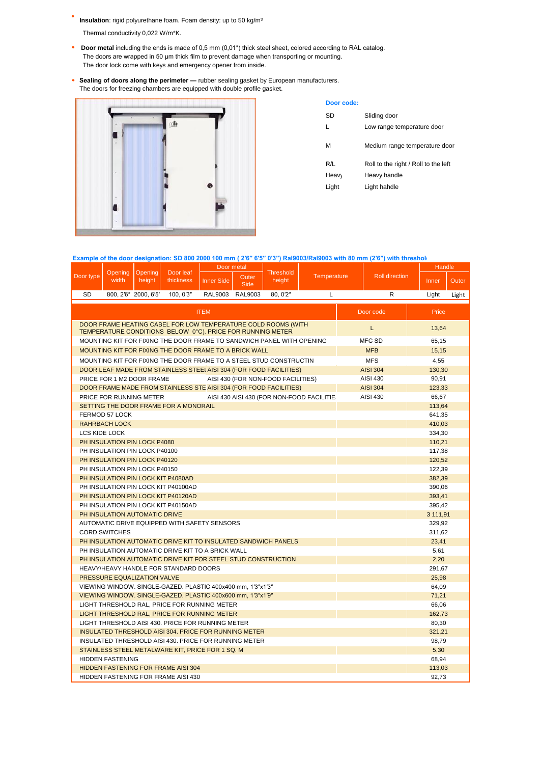- **Insulation**: rigid polyurethane foam. Foam density: up to 50 kg/m<sup>3</sup> Thermal conductivity 0,022 W/m\*K.
- $\bullet$ **Door metal** including the ends is made of 0,5 mm (0,01″) thick steel sheet, colored according to RAL catalog. The doors are wrapped in 50 μm thick film to prevent damage when transporting or mounting. The door lock come with keys and emergency opener from inside.
- **Sealing of doors along the perimeter** rubber sealing gasket by European manufacturers. The doors for freezing chambers are equipped with double profile gasket.



| Door code: |                                      |
|------------|--------------------------------------|
| SD         | Sliding door                         |
| L          | Low range temperature door           |
| М          | Medium range temperature door        |
| R/L        | Roll to the right / Roll to the left |
| Heavy      | Heavy handle                         |
| Light      | Light hahdle                         |

## Example of the door designation: SD 800 2000 100 mm ( 2<sup>'6"</sup> 6'5" 0'3") Ral9003/Ral9003 with 80 mm (2'6") with threshold

|                                                                                                   |                                                                                        |                      |                                                                                                                    | Door metal        |                      |                                    |                                            | Handle       |                 |                 |       |  |  |  |
|---------------------------------------------------------------------------------------------------|----------------------------------------------------------------------------------------|----------------------|--------------------------------------------------------------------------------------------------------------------|-------------------|----------------------|------------------------------------|--------------------------------------------|--------------|-----------------|-----------------|-------|--|--|--|
| Door type                                                                                         | Opening<br>width                                                                       | Opening<br>height    | Door leaf<br>thickness                                                                                             | <b>Inner Side</b> | Outer<br><b>Side</b> | <b>Threshold</b><br>height         | <b>Temperature</b>                         |              | Roll direction  | <b>Inner</b>    | Outer |  |  |  |
| SD                                                                                                |                                                                                        | 800, 2'6" 2000, 6'5' | 100, 0'3"                                                                                                          | RAL9003           | RAL9003              | 80, 0'2"                           | L                                          | $\mathsf{R}$ |                 |                 | Light |  |  |  |
|                                                                                                   |                                                                                        |                      |                                                                                                                    |                   |                      |                                    |                                            |              |                 |                 |       |  |  |  |
|                                                                                                   | <b>ITEM</b><br>Door code                                                               |                      |                                                                                                                    |                   |                      |                                    |                                            |              |                 |                 |       |  |  |  |
| DOOR FRAME HEATING CABEL FOR LOW TEMPERATURE COLD ROOMS (WITH                                     |                                                                                        |                      |                                                                                                                    |                   |                      |                                    |                                            |              |                 | 13,64           |       |  |  |  |
|                                                                                                   | L<br>TEMPERATURE CONDITIONS BELOW 0°C). PRICE FOR RUNNING METER                        |                      |                                                                                                                    |                   |                      |                                    |                                            |              |                 |                 |       |  |  |  |
|                                                                                                   | MOUNTING KIT FOR FIXING THE DOOR FRAME TO SANDWICH PANEL WITH OPENING<br><b>MFC SD</b> |                      |                                                                                                                    |                   |                      |                                    |                                            |              |                 |                 | 65,15 |  |  |  |
| MOUNTING KIT FOR FIXING THE DOOR FRAME TO A BRICK WALL<br><b>MFB</b>                              |                                                                                        |                      |                                                                                                                    |                   |                      |                                    |                                            |              |                 | 15,15           |       |  |  |  |
| MOUNTING KIT FOR FIXING THE DOOR FRAME TO A STEEL STUD CONSTRUCTIN<br><b>MFS</b>                  |                                                                                        |                      |                                                                                                                    |                   |                      |                                    |                                            |              |                 | 4,55            |       |  |  |  |
|                                                                                                   |                                                                                        |                      | DOOR LEAF MADE FROM STAINLESS STEEL AISI 304 (FOR FOOD FACILITIES)                                                 |                   |                      |                                    |                                            |              | <b>AISI 304</b> | 130,30          |       |  |  |  |
|                                                                                                   | PRICE FOR 1 M2 DOOR FRAME                                                              |                      |                                                                                                                    |                   |                      | AISI 430 (FOR NON-FOOD FACILITIES) |                                            |              | AISI 430        | 90,91           |       |  |  |  |
|                                                                                                   |                                                                                        |                      | DOOR FRAME MADE FROM STAINLESS STE AISI 304 (FOR FOOD FACILITIES)                                                  |                   |                      |                                    |                                            |              | <b>AISI 304</b> | 123,33          |       |  |  |  |
|                                                                                                   | PRICE FOR RUNNING METER                                                                |                      |                                                                                                                    |                   |                      |                                    | AISI 430 AISI 430 (FOR NON-FOOD FACILITIE: |              | AISI 430        | 66,67           |       |  |  |  |
|                                                                                                   |                                                                                        |                      | SETTING THE DOOR FRAME FOR A MONORAIL                                                                              |                   |                      |                                    |                                            |              |                 | 113,64          |       |  |  |  |
|                                                                                                   | FERMOD 57 LOCK                                                                         |                      |                                                                                                                    |                   |                      |                                    |                                            |              |                 | 641,35          |       |  |  |  |
|                                                                                                   | <b>RAHRBACH LOCK</b>                                                                   |                      |                                                                                                                    |                   |                      |                                    |                                            |              |                 | 410,03          |       |  |  |  |
|                                                                                                   | <b>LCS KIDE LOCK</b>                                                                   |                      |                                                                                                                    |                   |                      |                                    |                                            |              |                 | 334,30          |       |  |  |  |
|                                                                                                   | PH INSULATION PIN LOCK P4080                                                           |                      |                                                                                                                    |                   |                      |                                    |                                            |              |                 | 110,21          |       |  |  |  |
|                                                                                                   | PH INSULATION PIN LOCK P40100                                                          |                      |                                                                                                                    |                   |                      |                                    |                                            |              |                 | 117,38          |       |  |  |  |
|                                                                                                   | PH INSULATION PIN LOCK P40120                                                          |                      |                                                                                                                    |                   |                      |                                    |                                            |              |                 | 120,52          |       |  |  |  |
|                                                                                                   | PH INSULATION PIN LOCK P40150                                                          |                      |                                                                                                                    |                   |                      |                                    |                                            |              |                 | 122,39          |       |  |  |  |
|                                                                                                   |                                                                                        |                      | PH INSULATION PIN LOCK KIT P4080AD                                                                                 |                   |                      |                                    |                                            |              |                 | 382,39          |       |  |  |  |
|                                                                                                   |                                                                                        |                      | PH INSULATION PIN LOCK KIT P40100AD                                                                                |                   |                      |                                    |                                            |              |                 | 390,06          |       |  |  |  |
|                                                                                                   |                                                                                        |                      | PH INSULATION PIN LOCK KIT P40120AD                                                                                |                   |                      |                                    |                                            |              |                 | 393,41          |       |  |  |  |
|                                                                                                   |                                                                                        |                      | PH INSULATION PIN LOCK KIT P40150AD                                                                                |                   |                      |                                    |                                            |              |                 | 395,42          |       |  |  |  |
|                                                                                                   | PH INSULATION AUTOMATIC DRIVE                                                          |                      |                                                                                                                    |                   |                      |                                    |                                            |              |                 | 3 111,91        |       |  |  |  |
|                                                                                                   |                                                                                        |                      | AUTOMATIC DRIVE EQUIPPED WITH SAFETY SENSORS                                                                       |                   |                      |                                    |                                            |              |                 | 329,92          |       |  |  |  |
|                                                                                                   | <b>CORD SWITCHES</b>                                                                   |                      |                                                                                                                    |                   |                      |                                    |                                            |              |                 | 311,62          |       |  |  |  |
|                                                                                                   |                                                                                        |                      | PH INSULATION AUTOMATIC DRIVE KIT TO INSULATED SANDWICH PANELS                                                     |                   |                      |                                    |                                            |              |                 | 23,41           |       |  |  |  |
|                                                                                                   |                                                                                        |                      | PH INSULATION AUTOMATIC DRIVE KIT TO A BRICK WALL<br>PH INSULATION AUTOMATIC DRIVE KIT FOR STEEL STUD CONSTRUCTION |                   |                      |                                    |                                            |              |                 | 5,61<br>2,20    |       |  |  |  |
|                                                                                                   |                                                                                        |                      | HEAVY/HEAVY HANDLE FOR STANDARD DOORS                                                                              |                   |                      |                                    |                                            |              |                 |                 |       |  |  |  |
|                                                                                                   | PRESSURE EQUALIZATION VALVE                                                            |                      |                                                                                                                    |                   |                      |                                    |                                            |              |                 | 291,67<br>25,98 |       |  |  |  |
|                                                                                                   |                                                                                        |                      | VIEWING WINDOW. SINGLE-GAZED. PLASTIC 400x400 mm, 1'3"x1'3"                                                        |                   |                      |                                    |                                            |              |                 | 64,09           |       |  |  |  |
|                                                                                                   |                                                                                        |                      | VIEWING WINDOW, SINGLE-GAZED, PLASTIC 400x600 mm, 1'3"x1'9"                                                        |                   |                      |                                    |                                            |              |                 | 71.21           |       |  |  |  |
|                                                                                                   |                                                                                        |                      | LIGHT THRESHOLD RAL, PRICE FOR RUNNING METER                                                                       |                   |                      |                                    |                                            |              |                 | 66,06           |       |  |  |  |
|                                                                                                   |                                                                                        |                      |                                                                                                                    |                   |                      |                                    |                                            |              |                 | 162,73          |       |  |  |  |
| LIGHT THRESHOLD RAL, PRICE FOR RUNNING METER<br>LIGHT THRESHOLD AISI 430. PRICE FOR RUNNING METER |                                                                                        |                      |                                                                                                                    |                   |                      |                                    |                                            |              | 80,30           |                 |       |  |  |  |
| <b>INSULATED THRESHOLD AISI 304. PRICE FOR RUNNING METER</b>                                      |                                                                                        |                      |                                                                                                                    |                   |                      |                                    |                                            | 321,21       |                 |                 |       |  |  |  |
| INSULATED THRESHOLD AISI 430. PRICE FOR RUNNING METER                                             |                                                                                        |                      |                                                                                                                    |                   |                      |                                    |                                            | 98,79        |                 |                 |       |  |  |  |
| STAINLESS STEEL METALWARE KIT, PRICE FOR 1 SQ. M                                                  |                                                                                        |                      |                                                                                                                    |                   |                      |                                    |                                            | 5,30         |                 |                 |       |  |  |  |
| <b>HIDDEN FASTENING</b>                                                                           |                                                                                        |                      |                                                                                                                    |                   |                      |                                    |                                            | 68,94        |                 |                 |       |  |  |  |
|                                                                                                   |                                                                                        |                      | HIDDEN FASTENING FOR FRAME AISI 304                                                                                |                   |                      |                                    |                                            |              |                 | 113,03          |       |  |  |  |
|                                                                                                   |                                                                                        |                      | HIDDEN FASTENING FOR FRAME AISI 430                                                                                |                   |                      |                                    |                                            |              |                 | 92.73           |       |  |  |  |